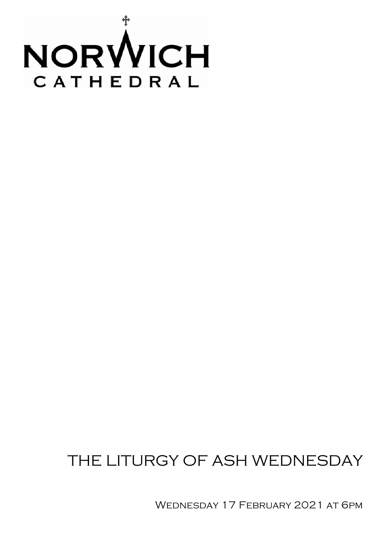

# THE LITURGY OF ASH WEDNESDAY

WEDNESDAY 17 FEBRUARY 2021 AT 6PM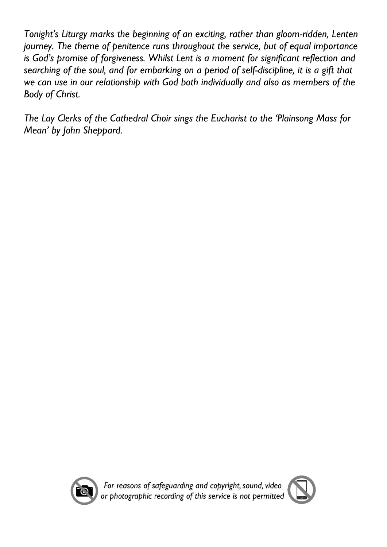*Tonight's Liturgy marks the beginning of an exciting, rather than gloom-ridden, Lenten journey. The theme of penitence runs throughout the service, but of equal importance is God's promise of forgiveness. Whilst Lent is a moment for significant reflection and searching of the soul, and for embarking on a period of self-discipline, it is a gift that we can use in our relationship with God both individually and also as members of the Body of Christ.*

*The Lay Clerks of the Cathedral Choir sings the Eucharist to the 'Plainsong Mass for Mean' by John Sheppard.*



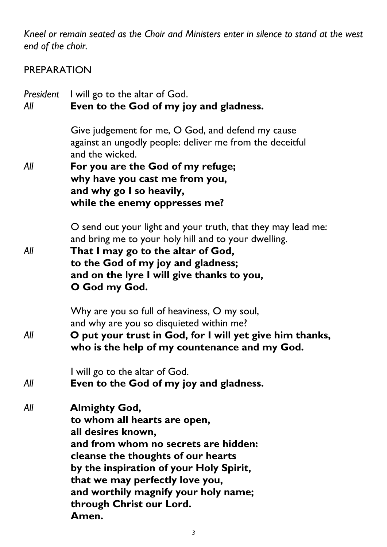*Kneel or remain seated as the Choir and Ministers enter in silence to stand at the west end of the choir.*

## PREPARATION

| President<br>All | I will go to the altar of God.<br>Even to the God of my joy and gladness.                                                                                                                                                                                                                                           |
|------------------|---------------------------------------------------------------------------------------------------------------------------------------------------------------------------------------------------------------------------------------------------------------------------------------------------------------------|
| All              | Give judgement for me, O God, and defend my cause<br>against an ungodly people: deliver me from the deceitful<br>and the wicked.<br>For you are the God of my refuge;<br>why have you cast me from you,<br>and why go I so heavily,<br>while the enemy oppresses me?                                                |
| All              | O send out your light and your truth, that they may lead me:<br>and bring me to your holy hill and to your dwelling.<br>That I may go to the altar of God,<br>to the God of my joy and gladness;<br>and on the lyre I will give thanks to you,<br>O God my God.                                                     |
| All              | Why are you so full of heaviness, O my soul,<br>and why are you so disquieted within me?<br>O put your trust in God, for I will yet give him thanks,<br>who is the help of my countenance and my God.                                                                                                               |
| All              | I will go to the altar of God.<br>Even to the God of my joy and gladness.                                                                                                                                                                                                                                           |
| All              | <b>Almighty God,</b><br>to whom all hearts are open,<br>all desires known,<br>and from whom no secrets are hidden:<br>cleanse the thoughts of our hearts<br>by the inspiration of your Holy Spirit,<br>that we may perfectly love you,<br>and worthily magnify your holy name;<br>through Christ our Lord.<br>Amen. |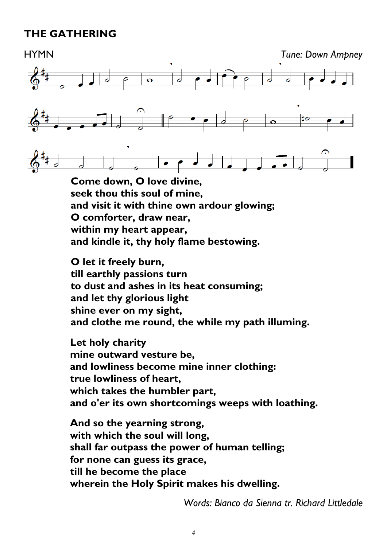## **THE GATHERING**

HYMN *Tune: Down Ampney*  $\begin{array}{|c|c|c|}\n\hline\n\text{o} & \text{o}\n\end{array}$  $\int_{0}^{\pi}$  $\overline{\mathbf{o}}$ 

**Come down, O love divine, seek thou this soul of mine, and visit it with thine own ardour glowing; O comforter, draw near, within my heart appear, and kindle it, thy holy flame bestowing.**

**O let it freely burn, till earthly passions turn to dust and ashes in its heat consuming; and let thy glorious light shine ever on my sight, and clothe me round, the while my path illuming.**

**Let holy charity mine outward vesture be, and lowliness become mine inner clothing: true lowliness of heart, which takes the humbler part, and o'er its own shortcomings weeps with loathing.**

**And so the yearning strong, with which the soul will long, shall far outpass the power of human telling; for none can guess its grace, till he become the place wherein the Holy Spirit makes his dwelling.**

*Words: Bianco da Sienna tr. Richard Littledale*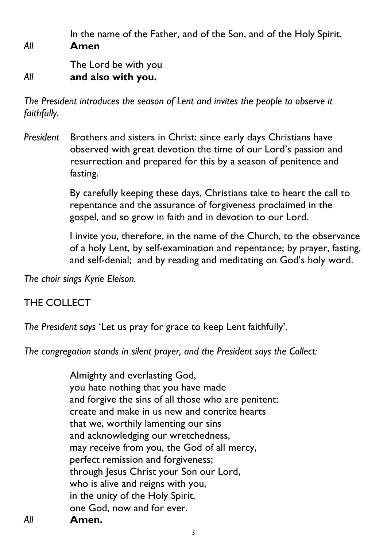In the name of the Father, and of the Son, and of the Holy Spirit. *All* **Amen**

The Lord be with you *All* **and also with you.**

*The President introduces the season of Lent and invites the people to observe it faithfully.*

*President* Brothers and sisters in Christ: since early days Christians have observed with great devotion the time of our Lord's passion and resurrection and prepared for this by a season of penitence and fasting.

> By carefully keeping these days, Christians take to heart the call to repentance and the assurance of forgiveness proclaimed in the gospel, and so grow in faith and in devotion to our Lord.

I invite you, therefore, in the name of the Church, to the observance of a holy Lent, by self-examination and repentance; by prayer, fasting, and self-denial; and by reading and meditating on God's holy word.

*The choir sings Kyrie Eleison.*

### THE COLLECT

*The President says* 'Let us pray for grace to keep Lent faithfully'*.* 

*The congregation stands in silent prayer, and the President says the Collect:*

Almighty and everlasting God, you hate nothing that you have made and forgive the sins of all those who are penitent: create and make in us new and contrite hearts that we, worthily lamenting our sins and acknowledging our wretchedness, may receive from you, the God of all mercy, perfect remission and forgiveness; through Jesus Christ your Son our Lord, who is alive and reigns with you, in the unity of the Holy Spirit, one God, now and for ever. *All* **Amen.**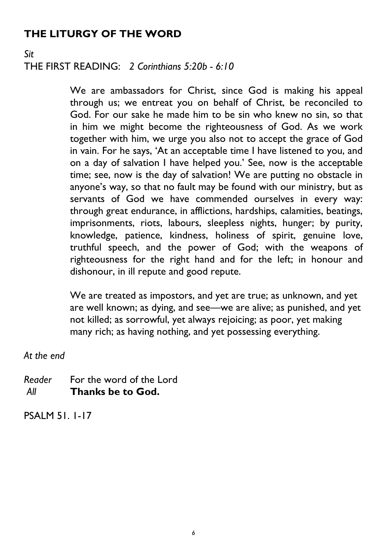# **THE LITURGY OF THE WORD**

#### *Sit* THE FIRST READING: *2 Corinthians 5:20b - 6:10*

We are ambassadors for Christ, since God is making his appeal through us; we entreat you on behalf of Christ, be reconciled to God. For our sake he made him to be sin who knew no sin, so that in him we might become the righteousness of God. As we work together with him, we urge you also not to accept the grace of God in vain. For he says, 'At an acceptable time I have listened to you, and on a day of salvation I have helped you.' See, now is the acceptable time; see, now is the day of salvation! We are putting no obstacle in anyone's way, so that no fault may be found with our ministry, but as servants of God we have commended ourselves in every way: through great endurance, in afflictions, hardships, calamities, beatings, imprisonments, riots, labours, sleepless nights, hunger; by purity, knowledge, patience, kindness, holiness of spirit, genuine love, truthful speech, and the power of God; with the weapons of righteousness for the right hand and for the left; in honour and dishonour, in ill repute and good repute.

We are treated as impostors, and yet are true; as unknown, and yet are well known; as dying, and see—we are alive; as punished, and yet not killed; as sorrowful, yet always rejoicing; as poor, yet making many rich; as having nothing, and yet possessing everything.

*At the end*

*Reader* For the word of the Lord *All* **Thanks be to God.**

PSALM 51. 1-17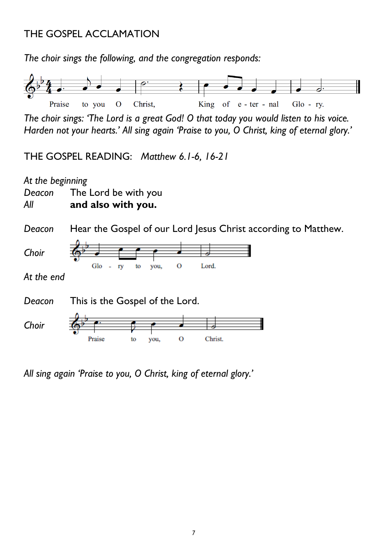## THE GOSPEL ACCLAMATION

*The choir sings the following, and the congregation responds:*



*The choir sings: 'The Lord is a great God! O that today you would listen to his voice. Harden not your hearts.' All sing again 'Praise to you, O Christ, king of eternal glory.'*

THE GOSPEL READING: *Matthew 6.1-6, 16-21*

*At the beginning Deacon* The Lord be with you *All* **and also with you.**

*Deacon* Hear the Gospel of our Lord Jesus Christ according to Matthew.



*At the end*

*Deacon* This is the Gospel of the Lord.



*All sing again 'Praise to you, O Christ, king of eternal glory.'*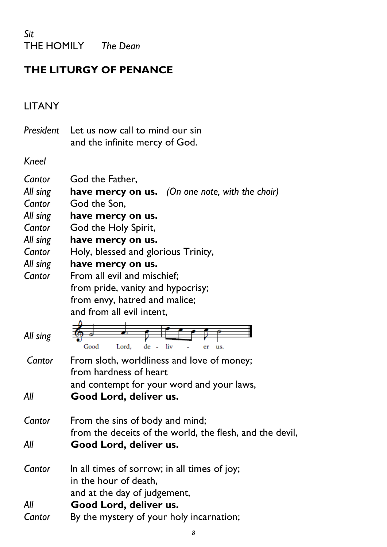*Sit* THE HOMILY *The Dean*

# **THE LITURGY OF PENANCE**

# LITANY

| President Let us now call to mind our sin |
|-------------------------------------------|
| and the infinite mercy of God.            |

*Kneel*

| Cantor<br>All sing<br>Cantor<br>All sing | God the Father,<br><b>have mercy on us.</b> (On one note, with the choir)<br>God the Son,<br>have mercy on us. |
|------------------------------------------|----------------------------------------------------------------------------------------------------------------|
| Cantor                                   | God the Holy Spirit,                                                                                           |
| All sing                                 | have mercy on us.                                                                                              |
| Cantor                                   | Holy, blessed and glorious Trinity,                                                                            |
| All sing                                 | have mercy on us.                                                                                              |
| Cantor                                   | From all evil and mischief;                                                                                    |
|                                          | from pride, vanity and hypocrisy;                                                                              |
|                                          | from envy, hatred and malice;                                                                                  |
|                                          | and from all evil intent,                                                                                      |
| All sing                                 | de -<br>Good<br>Lord,<br>liv                                                                                   |
| Cantor                                   | From sloth, worldliness and love of money;<br>from hardness of heart                                           |
| All                                      | and contempt for your word and your laws,<br>Good Lord, deliver us.                                            |
| Cantor                                   | From the sins of body and mind;<br>from the deceits of the world, the flesh, and the devil,                    |
| All                                      | Good Lord, deliver us.                                                                                         |
| Cantor                                   | In all times of sorrow; in all times of joy;<br>in the hour of death,<br>and at the day of judgement,          |
| All                                      | Good Lord, deliver us.                                                                                         |
| Cantor                                   | By the mystery of your holy incarnation;                                                                       |
|                                          |                                                                                                                |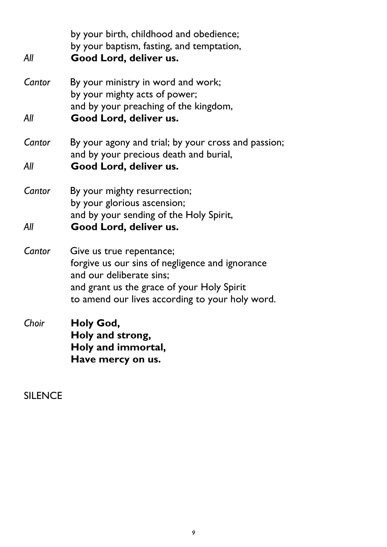by your birth, childhood and obedience; by your baptism, fasting, and temptation, *All* **Good Lord, deliver us.** *Cantor* By your ministry in word and work; by your mighty acts of power; and by your preaching of the kingdom, *All* **Good Lord, deliver us.** *Cantor* By your agony and trial; by your cross and passion; and by your precious death and burial, *All* **Good Lord, deliver us.** *Cantor* By your mighty resurrection; by your glorious ascension; and by your sending of the Holy Spirit, *All* **Good Lord, deliver us.** *Cantor* Give us true repentance; forgive us our sins of negligence and ignorance and our deliberate sins; and grant us the grace of your Holy Spirit to amend our lives according to your holy word. *Choir* **Holy God, Holy and strong, Holy and immortal, Have mercy on us.**

SILENCE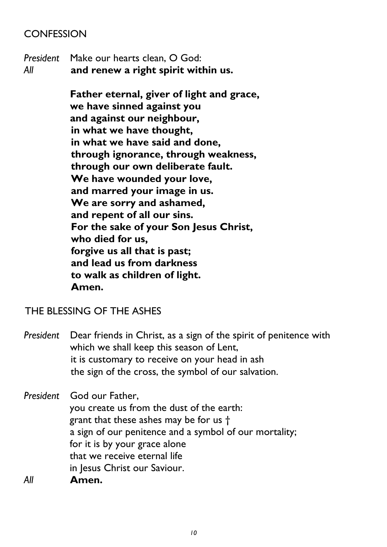### **CONFESSION**

*President* Make our hearts clean, O God: *All* **and renew a right spirit within us.**

> **Father eternal, giver of light and grace, we have sinned against you and against our neighbour, in what we have thought, in what we have said and done, through ignorance, through weakness, through our own deliberate fault. We have wounded your love, and marred your image in us. We are sorry and ashamed, and repent of all our sins. For the sake of your Son Jesus Christ, who died for us, forgive us all that is past; and lead us from darkness to walk as children of light. Amen.**

#### THE BLESSING OF THE ASHES

*President* Dear friends in Christ, as a sign of the spirit of penitence with which we shall keep this season of Lent, it is customary to receive on your head in ash the sign of the cross, the symbol of our salvation.

*President* God our Father, you create us from the dust of the earth: grant that these ashes may be for us † a sign of our penitence and a symbol of our mortality; for it is by your grace alone that we receive eternal life in Jesus Christ our Saviour. *All* **Amen.**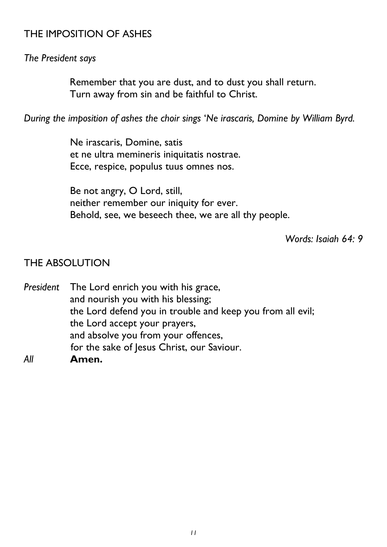### THE IMPOSITION OF ASHES

#### *The President says*

Remember that you are dust, and to dust you shall return. Turn away from sin and be faithful to Christ.

*During the imposition of ashes the choir sings* '*Ne irascaris, Domine by William Byrd.* 

Ne irascaris, Domine, satis et ne ultra memineris iniquitatis nostrae. Ecce, respice, populus tuus omnes nos.

Be not angry, O Lord, still, neither remember our iniquity for ever. Behold, see, we beseech thee, we are all thy people.

*Words: Isaiah 64: 9*

#### THE ABSOLUTION

*President* The Lord enrich you with his grace, and nourish you with his blessing; the Lord defend you in trouble and keep you from all evil; the Lord accept your prayers, and absolve you from your offences, for the sake of Jesus Christ, our Saviour. *All* **Amen.**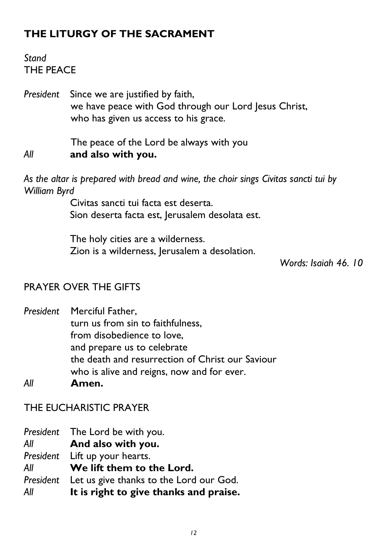# **THE LITURGY OF THE SACRAMENT**

## *Stand* THE PEACE

*President* Since we are justified by faith, we have peace with God through our Lord Jesus Christ, who has given us access to his grace.

The peace of the Lord be always with you *All* **and also with you.**

*As the altar is prepared with bread and wine, the choir sings Civitas sancti tui by William Byrd*

> Civitas sancti tui facta est deserta. Sion deserta facta est, Jerusalem desolata est.

The holy cities are a wilderness. Zion is a wilderness, Jerusalem a desolation.

*Words: Isaiah 46. 10*

#### PRAYER OVER THE GIFTS

*President* Merciful Father, turn us from sin to faithfulness, from disobedience to love, and prepare us to celebrate the death and resurrection of Christ our Saviour who is alive and reigns, now and for ever.

*All* **Amen.**

THE EUCHARISTIC PRAYER

*President* The Lord be with you. *All* **And also with you.** *President* Lift up your hearts. *All* **We lift them to the Lord.** *President* Let us give thanks to the Lord our God. *All* **It is right to give thanks and praise.**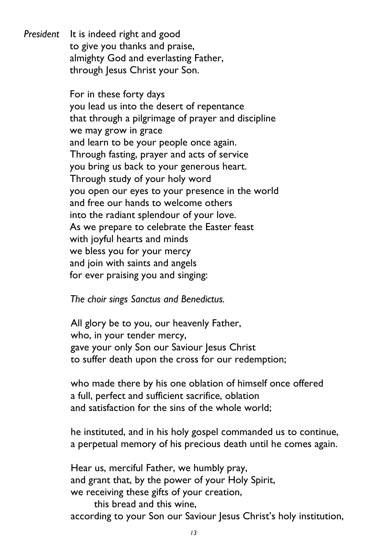*President* It is indeed right and good to give you thanks and praise, almighty God and everlasting Father, through Jesus Christ your Son.

> For in these forty days you lead us into the desert of repentance that through a pilgrimage of prayer and discipline we may grow in grace and learn to be your people once again. Through fasting, prayer and acts of service you bring us back to your generous heart. Through study of your holy word you open our eyes to your presence in the world and free our hands to welcome others into the radiant splendour of your love. As we prepare to celebrate the Easter feast with joyful hearts and minds we bless you for your mercy and join with saints and angels for ever praising you and singing:

*The choir sings Sanctus and Benedictus.*

All glory be to you, our heavenly Father, who, in your tender mercy, gave your only Son our Saviour Jesus Christ to suffer death upon the cross for our redemption;

who made there by his one oblation of himself once offered a full, perfect and sufficient sacrifice, oblation and satisfaction for the sins of the whole world;

he instituted, and in his holy gospel commanded us to continue, a perpetual memory of his precious death until he comes again.

Hear us, merciful Father, we humbly pray, and grant that, by the power of your Holy Spirit, we receiving these gifts of your creation, this bread and this wine,

according to your Son our Saviour Jesus Christ's holy institution,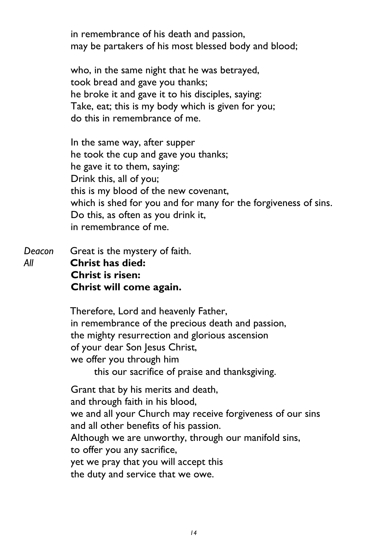in remembrance of his death and passion, may be partakers of his most blessed body and blood;

who, in the same night that he was betrayed, took bread and gave you thanks; he broke it and gave it to his disciples, saying: Take, eat; this is my body which is given for you; do this in remembrance of me.

In the same way, after supper he took the cup and gave you thanks; he gave it to them, saying: Drink this, all of you; this is my blood of the new covenant, which is shed for you and for many for the forgiveness of sins. Do this, as often as you drink it, in remembrance of me.

*Deacon* Great is the mystery of faith. *All* **Christ has died: Christ is risen: Christ will come again.**

> Therefore, Lord and heavenly Father, in remembrance of the precious death and passion, the mighty resurrection and glorious ascension of your dear Son Jesus Christ, we offer you through him this our sacrifice of praise and thanksgiving.

Grant that by his merits and death, and through faith in his blood, we and all your Church may receive forgiveness of our sins and all other benefits of his passion. Although we are unworthy, through our manifold sins, to offer you any sacrifice, yet we pray that you will accept this the duty and service that we owe.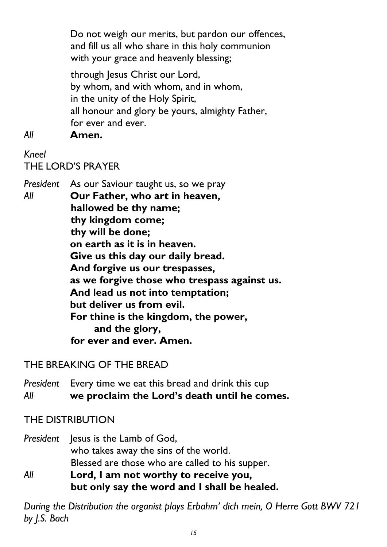Do not weigh our merits, but pardon our offences, and fill us all who share in this holy communion with your grace and heavenly blessing;

through Jesus Christ our Lord, by whom, and with whom, and in whom, in the unity of the Holy Spirit, all honour and glory be yours, almighty Father, for ever and ever.

*All* **Amen.**

# *Kneel* THE LORD'S PRAYER

*President* As our Saviour taught us, so we pray *All* **Our Father, who art in heaven, hallowed be thy name; thy kingdom come; thy will be done; on earth as it is in heaven. Give us this day our daily bread. And forgive us our trespasses, as we forgive those who trespass against us. And lead us not into temptation; but deliver us from evil. For thine is the kingdom, the power, and the glory, for ever and ever. Amen.** 

THE BREAKING OF THE BREAD

*President* Every time we eat this bread and drink this cup *All* **we proclaim the Lord's death until he comes.**

THE DISTRIBUTION

*President* Jesus is the Lamb of God, who takes away the sins of the world. Blessed are those who are called to his supper.

*All* **Lord, I am not worthy to receive you, but only say the word and I shall be healed.**

*During the Distribution the organist plays Erbahm' dich mein, O Herre Gott BWV 721 by J.S. Bach*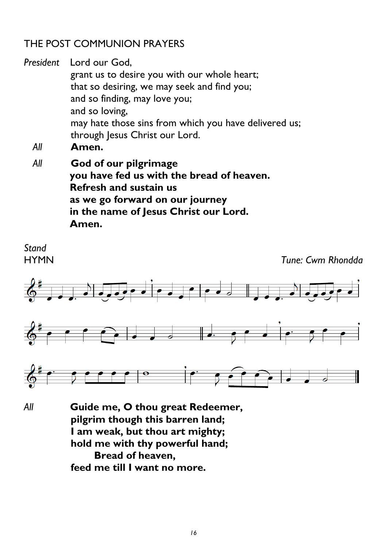### THE POST COMMUNION PRAYERS

*President* Lord our God, grant us to desire you with our whole heart; that so desiring, we may seek and find you; and so finding, may love you; and so loving, may hate those sins from which you have delivered us; through Jesus Christ our Lord.

- *All* **Amen.**
- *All* **God of our pilgrimage you have fed us with the bread of heaven. Refresh and sustain us as we go forward on our journey in the name of Jesus Christ our Lord. Amen.**



*All* **Guide me, O thou great Redeemer, pilgrim though this barren land; I am weak, but thou art mighty; hold me with thy powerful hand; Bread of heaven, feed me till I want no more.**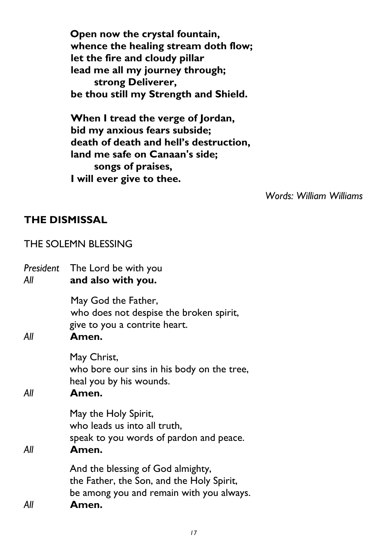**Open now the crystal fountain, whence the healing stream doth flow; let the fire and cloudy pillar lead me all my journey through; strong Deliverer, be thou still my Strength and Shield.**

**When I tread the verge of Jordan, bid my anxious fears subside; death of death and hell's destruction, land me safe on Canaan's side; songs of praises, I will ever give to thee.**

*Words: William Williams*

#### **THE DISMISSAL**

#### THE SOLEMN BLESSING

| President<br>All | The Lord be with you<br>and also with you.                                                                                          |
|------------------|-------------------------------------------------------------------------------------------------------------------------------------|
| All              | May God the Father,<br>who does not despise the broken spirit,<br>give to you a contrite heart.<br>Amen.                            |
| All              | May Christ,<br>who bore our sins in his body on the tree,<br>heal you by his wounds.<br>Amen.                                       |
| All              | May the Holy Spirit,<br>who leads us into all truth,<br>speak to you words of pardon and peace.<br>Amen.                            |
| All              | And the blessing of God almighty,<br>the Father, the Son, and the Holy Spirit,<br>be among you and remain with you always.<br>Amen. |